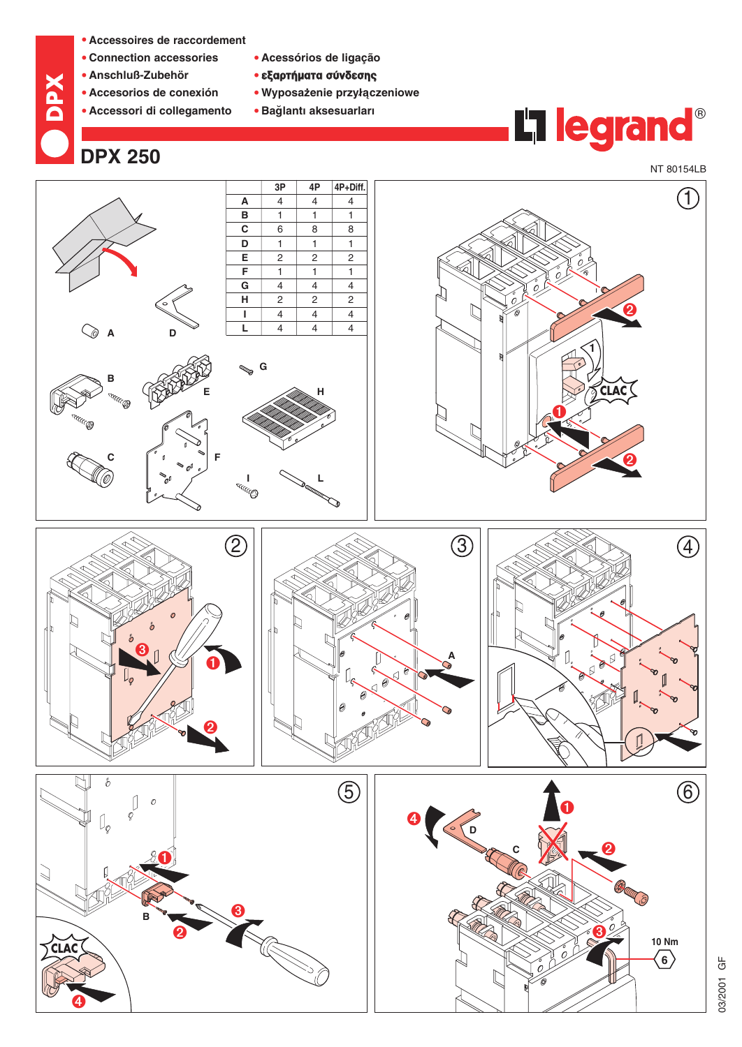- **• Accessoires de raccordement**
- **• Connection accessories**
- **• Anschluß-Zubehör**

**DPX**

- **• Accesorios de conexión**
- **• Accessori di collegamento**
- **• Acessórios de ligação** 
	- **•** εξαρτήματα σύνδεσης
	- **•** Wyposażenie przyłączeniowe
	- **• Bag˘ lantı aksesuarları**